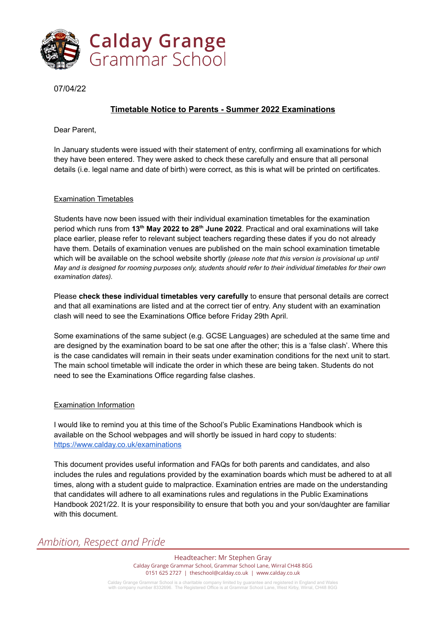

07/04/22

## **Timetable Notice to Parents - Summer 2022 Examinations**

Dear Parent,

In January students were issued with their statement of entry, confirming all examinations for which they have been entered. They were asked to check these carefully and ensure that all personal details (i.e. legal name and date of birth) were correct, as this is what will be printed on certificates.

### Examination Timetables

Students have now been issued with their individual examination timetables for the examination period which runs from **13 th May 2022 to 28 th June 2022**. Practical and oral examinations will take place earlier, please refer to relevant subject teachers regarding these dates if you do not already have them. Details of examination venues are published on the main school examination timetable which will be available on the school website shortly *(please note that this version is provisional up until May and is designed for rooming purposes only, students should refer to their individual timetables for their own examination dates).*

Please **check these individual timetables very carefully** to ensure that personal details are correct and that all examinations are listed and at the correct tier of entry. Any student with an examination clash will need to see the Examinations Office before Friday 29th April.

Some examinations of the same subject (e.g. GCSE Languages) are scheduled at the same time and are designed by the examination board to be sat one after the other; this is a 'false clash'. Where this is the case candidates will remain in their seats under examination conditions for the next unit to start. The main school timetable will indicate the order in which these are being taken. Students do not need to see the Examinations Office regarding false clashes.

#### Examination Information

I would like to remind you at this time of the School's Public Examinations Handbook which is available on the School webpages and will shortly be issued in hard copy to students: <https://www.calday.co.uk/examinations>

This document provides useful information and FAQs for both parents and candidates, and also includes the rules and regulations provided by the examination boards which must be adhered to at all times, along with a student guide to malpractice. Examination entries are made on the understanding that candidates will adhere to all examinations rules and regulations in the Public Examinations Handbook 2021/22. It is your responsibility to ensure that both you and your son/daughter are familiar with this document.

# *Ambition, Respect and Pride*

Headteacher: Mr Stephen Gray Calday Grange Grammar School, Grammar School Lane, Wirral CH48 8GG 0151 625 2727 | theschool@calday.co.uk | www.calday.co.uk

Calday Grange Grammar School is a charitable company limited by guarantee and registered in England and Wales with company number 8332696. The Registered Office is at Grammar School Lane, West Kirby, Wirral, CH48 8GG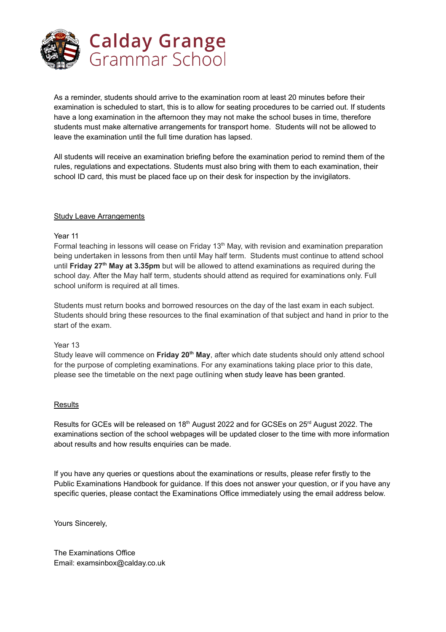

As a reminder, students should arrive to the examination room at least 20 minutes before their examination is scheduled to start, this is to allow for seating procedures to be carried out. If students have a long examination in the afternoon they may not make the school buses in time, therefore students must make alternative arrangements for transport home. Students will not be allowed to leave the examination until the full time duration has lapsed.

All students will receive an examination briefing before the examination period to remind them of the rules, regulations and expectations. Students must also bring with them to each examination, their school ID card, this must be placed face up on their desk for inspection by the invigilators.

#### Study Leave Arrangements

#### Year 11

Formal teaching in lessons will cease on Friday 13<sup>th</sup> May, with revision and examination preparation being undertaken in lessons from then until May half term. Students must continue to attend school until **Friday 27 th May at 3.35pm** but will be allowed to attend examinations as required during the school day. After the May half term, students should attend as required for examinations only. Full school uniform is required at all times.

Students must return books and borrowed resources on the day of the last exam in each subject. Students should bring these resources to the final examination of that subject and hand in prior to the start of the exam.

#### Year 13

Study leave will commence on **Friday 20 th May**, after which date students should only attend school for the purpose of completing examinations. For any examinations taking place prior to this date, please see the timetable on the next page outlining when study leave has been granted.

#### **Results**

Results for GCEs will be released on 18<sup>th</sup> August 2022 and for GCSEs on 25<sup>rd</sup> August 2022. The examinations section of the school webpages will be updated closer to the time with more information about results and how results enquiries can be made.

If you have any queries or questions about the examinations or results, please refer firstly to the Public Examinations Handbook for guidance. If this does not answer your question, or if you have any specific queries, please contact the Examinations Office immediately using the email address below.

Yours Sincerely,

The Examinations Office Email: examsinbox@calday.co.uk